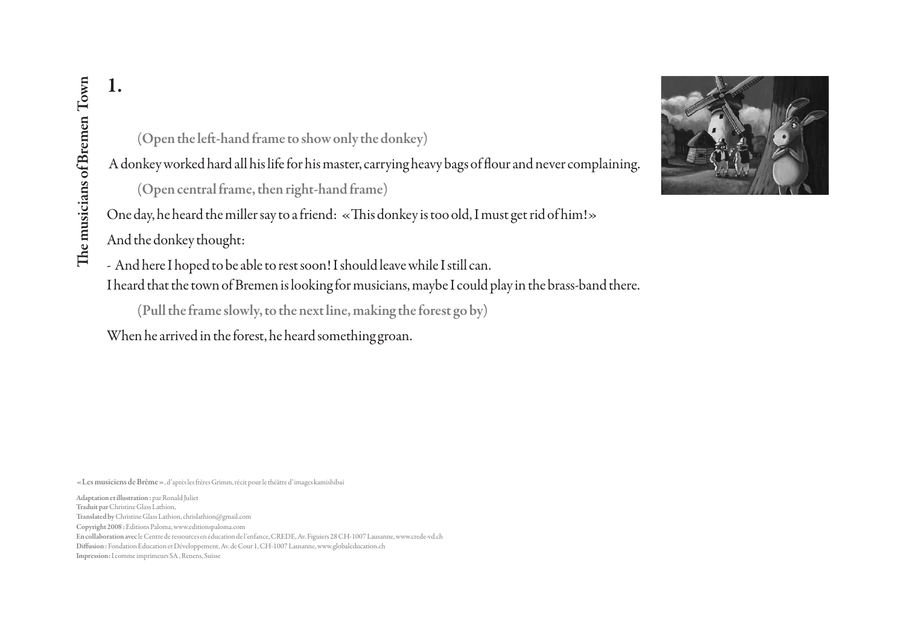(Open the left-hand frame to show only the donkey)

A donkey worked hard all his life for his master, carrying heavy bags of flour and never complaining.

(Open central frame, then right-hand frame)

One day, he heard the miller say to a friend: «This donkey is too old, I must get rid of him!»

And the donkey thought:

- And here I hoped to be able to rest soon! I should leave while I still can.

I heard that the town of Bremen is looking for musicians, maybe I could play in the brass-band there.

(Pull the frame slowly, to the next line, making the forest go by)

When he arrived in the forest, he heard something groan.

«Les musiciens de Brême», d'après les frères Grimm, récit pour le théâtre d'images kamishibaï

Adaptation et illustration : par Ronald Juliet Copyright 2008 : Editions Paloma, www.editionspaloma.com En collaboration avec le Centre de ressources en éducation de l'enfance, CREDE, Av. Figuiers 28 CH-1007 Lausanne, www.crede-vd.ch Diffusion : Fondation Education et Développement, Av. de Cour 1, CH-1007 Lausanne, www.globaleducation.ch **I.**<br> **I.** (Open the left-<br>
Adonkey worked ha<br>
(Open central)<br>
One day, he heard the<br>
And the donkey thou<br>
- And here I hoped to<br>
I heard that the town<br>
(Pull the frame<br>
When he arrived in the musicians of Bremen Towns of Traduit par Christine Glass Lathion, Translated by Christine Glass Lathion, chrislathion@gmail.com

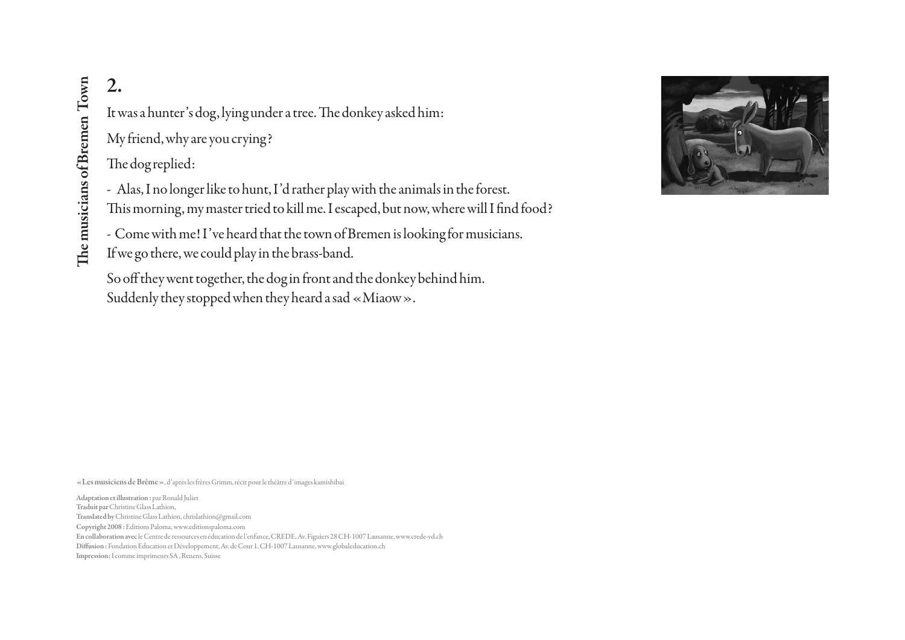It was a hunter's dog, lying under a tree. The donkey asked him: My friend, why are you crying?

The dog replied:

- Alas, I no longer like to hunt, I'd rather play with the animals in the forest. This morning, my master tried to kill me. I escaped, but now, where will I find food?

- Come with me! I've heard that the town of Bremen is looking for musicians.

If we go there, we could play in the brass-band.

So off they went together, the dog in front and the donkey behind him. Suddenly they stopped when they heard a sad «Miaow».



«Les musiciens de Brême», d'après les frères Grimm, récit pour le théâtre d'images kamishibaï

Adaptation et illustration : par Ronald Juliet Copyright 2008 : Editions Paloma, www.editionspaloma.com En collaboration avec le Centre de ressources en éducation de l'enfance, CREDE, Av. Figuiers 28 CH-1007 Lausanne, www.crede-vd.ch Diffusion : Fondation Education et Développement, Av. de Cour 1, CH-1007 Lausanne, www.globaleducation.ch 2.<br>
It was a hunter's dog,<br>
My friend, why are yc<br>
The dog replied:<br>
- Alas, I no longer lik<br>
This morning, my ma<br>
- Come with me! I've<br>
If we go there, we cou<br>
So off they went toge<br>
Suddenly they stoppe<br>
Suddenly they st Traduit par Christine Glass Lathion, Translated by Christine Glass Lathion, chrislathion@gmail.com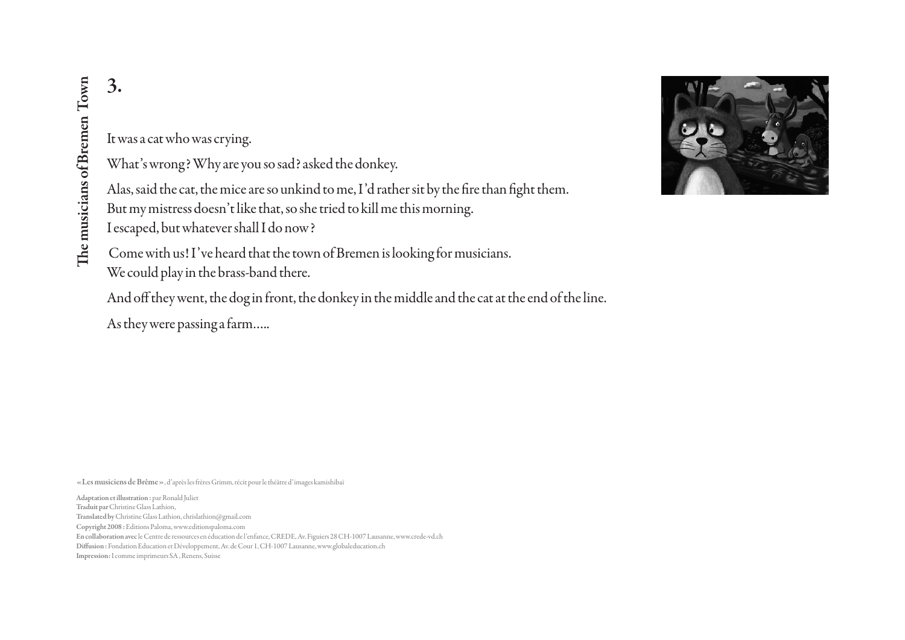#### It was a cat who was crying.

What's wrong? Why are you so sad? asked the donkey.

Alas, said the cat, the mice are so unkind to me, I'd rather sit by the fire than fight them. But my mistress doesn't like that, so she tried to kill me this morning. I escaped, but whatever shall I do now?

 Come with us! I've heard that the town of Bremen is looking for musicians. We could play in the brass-band there.

And off they went, the dog in front, the donkey in the middle and the cat at the end of the line.

As they were passing a farm…..

«Les musiciens de Brême», d'après les frères Grimm, récit pour le théâtre d'images kamishibaï

Adaptation et illustration : par Ronald Juliet Copyright 2008 : Editions Paloma, www.editionspaloma.com En collaboration avec le Centre de ressources en éducation de l'enfance, CREDE, Av. Figuiers 28 CH-1007 Lausanne, www.crede-vd.ch Diffusion : Fondation Education et Développement, Av. de Cour 1, CH-1007 Lausanne, www.globaleducation.ch 3.<br>
It was a cat who was c<br>
What's wrong? Why<br>
Alas, said the cat, the<br>
But my mistress does:<br>
I escaped, but whatev<br>
Come with us! I've h<br>
We could play in the l<br>
And off they went, th<br>
As they were passing:<br>
<br>
Escapedia Traduit par Christine Glass Lathion, Translated by Christine Glass Lathion, chrislathion@gmail.com

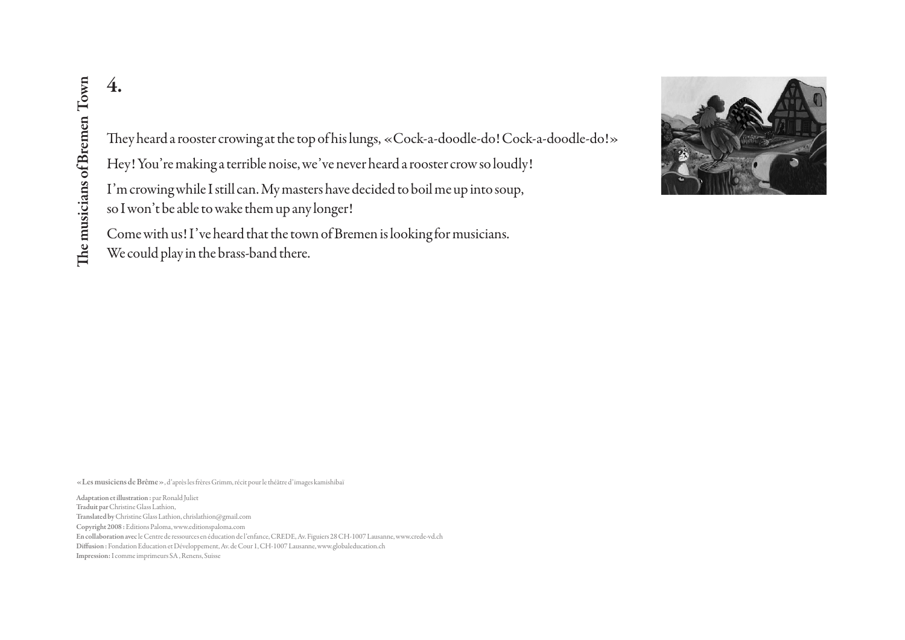They heard a rooster crowing at the top of his lungs, «Cock-a-doodle-do! Cock-a-doodle-do!»

Hey! You're making a terrible noise, we've never heard a rooster crow so loudly!

I'm crowing while I still can. My masters have decided to boil me up into soup, so I won't be able to wake them up any longer!

Come with us! I've heard that the town of Bremen is looking for musicians.

We could play in the brass-band there.



«Les musiciens de Brême», d'après les frères Grimm, récit pour le théâtre d'images kamishibaï

Adaptation et illustration : par Ronald Juliet Copyright 2008 : Editions Paloma, www.editionspaloma.com En collaboration avec le Centre de ressources en éducation de l'enfance, CREDE, Av. Figuiers 28 CH-1007 Lausanne, www.crede-vd.ch Diffusion : Fondation Education et Développement, Av. de Cour 1, CH-1007 Lausanne, www.globaleducation.ch 4.<br>
Inpression: I commenced a rooster of<br>
Hey! You're making:<br>
I'm crowing while Is<br>
so I won't be able to w<br>
Come with us! I've h<br>
We could play in the l<br>
so I wisse to Bremen Towns and the l<br>
we could play in the l<br>
exte Traduit par Christine Glass Lathion, Translated by Christine Glass Lathion, chrislathion@gmail.com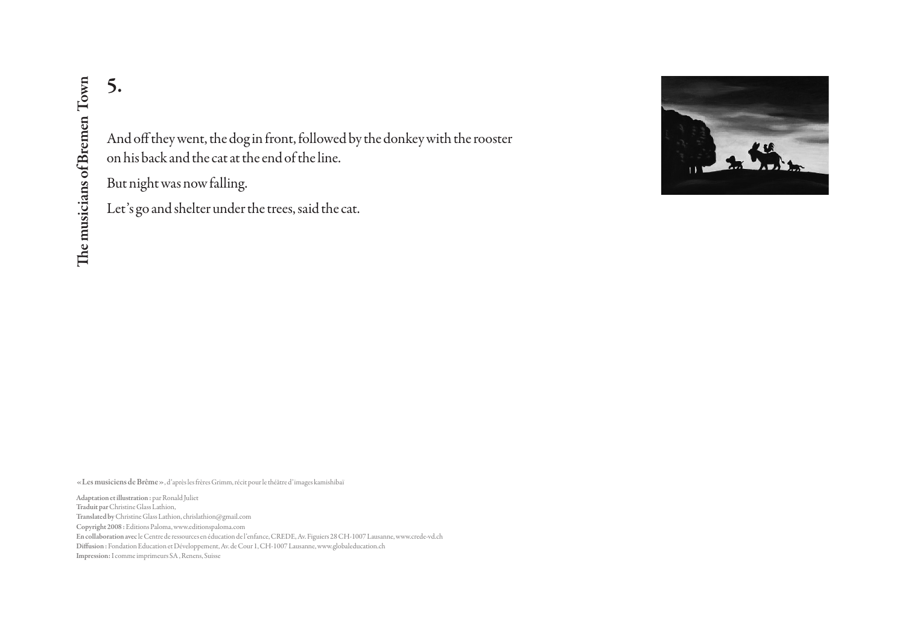And off they went, the dog in front, followed by the donkey with the rooster on his back and the cat at the end of the line.

But night was now falling.

Let's go and shelter under the trees, said the cat.



«Les musiciens de Brême», d'après les frères Grimm, récit pour le théâtre d'images kamishibaï

Adaptation et illustration : par Ronald Juliet Copyright 2008 : Editions Paloma, www.editionspaloma.com En collaboration avec le Centre de ressources en éducation de l'enfance, CREDE, Av. Figuiers 28 CH-1007 Lausanne, www.crede-vd.ch Diffusion : Fondation Education et Développement, Av. de Cour 1, CH-1007 Lausanne, www.globaleducation.ch 5.<br>
Impression: In this back and the ca<br>
But night was now fa<br>
Let's go and shelter u<br>
Ext's go and shelter u<br>
Extra musicians of Bremen Towns of Bremen Towns<br>
Maptation et illustration : par Ronald Juliet<br>
Thault par Chri Traduit par Christine Glass Lathion, Translated by Christine Glass Lathion, chrislathion@gmail.com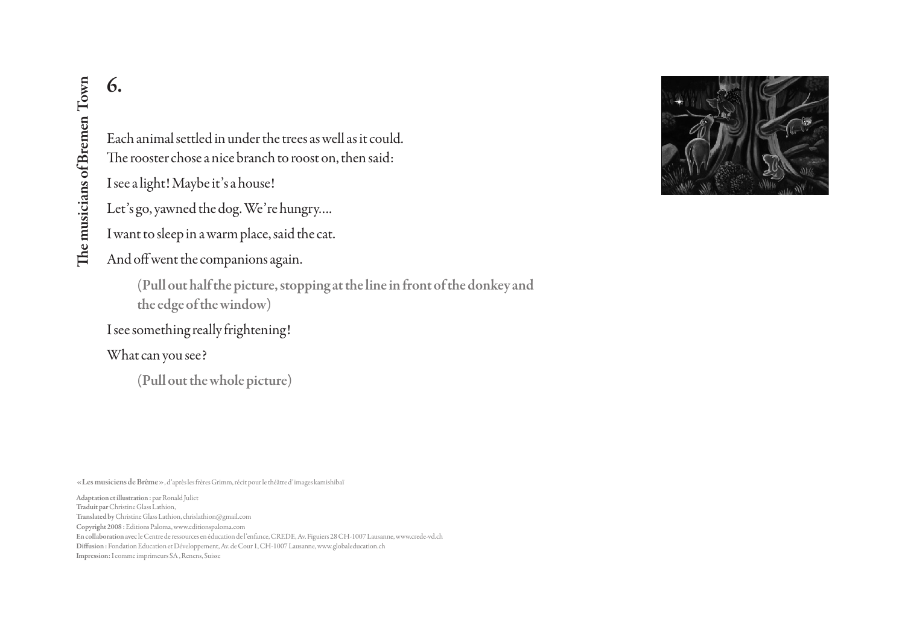Each animal settled in under the trees as well as it could. The rooster chose a nice branch to roost on, then said:

I see a light! Maybe it's a house!

Let's go, yawned the dog. We're hungry….

I want to sleep in a warm place, said the cat.

And off went the companions again.

(Pull out half the picture, stopping at the line in front of the donkey and the edge of the window)

I see something really frightening!

What can you see?

(Pull out the whole picture)

«Les musiciens de Brême», d'après les frères Grimm, récit pour le théâtre d'images kamishibaï

Adaptation et illustration : par Ronald Juliet Copyright 2008 : Editions Paloma, www.editionspaloma.com En collaboration avec le Centre de ressources en éducation de l'enfance, CREDE, Av. Figuiers 28 CH-1007 Lausanne, www.crede-vd.ch Diffusion : Fondation Education et Développement, Av. de Cour 1, CH-1007 Lausanne, www.globaleducation.ch **1988**<br>
Increase a light! Maybe it<br>
Iter's go, yawned the c<br>
I want to sleep in a wa<br>
And off went the com<br>
(Pull out half the musicians of the discussed of the<br>
I see something really<br>
What can you see?<br>
(Pull out the w.<br> Traduit par Christine Glass Lathion, Translated by Christine Glass Lathion, chrislathion@gmail.com

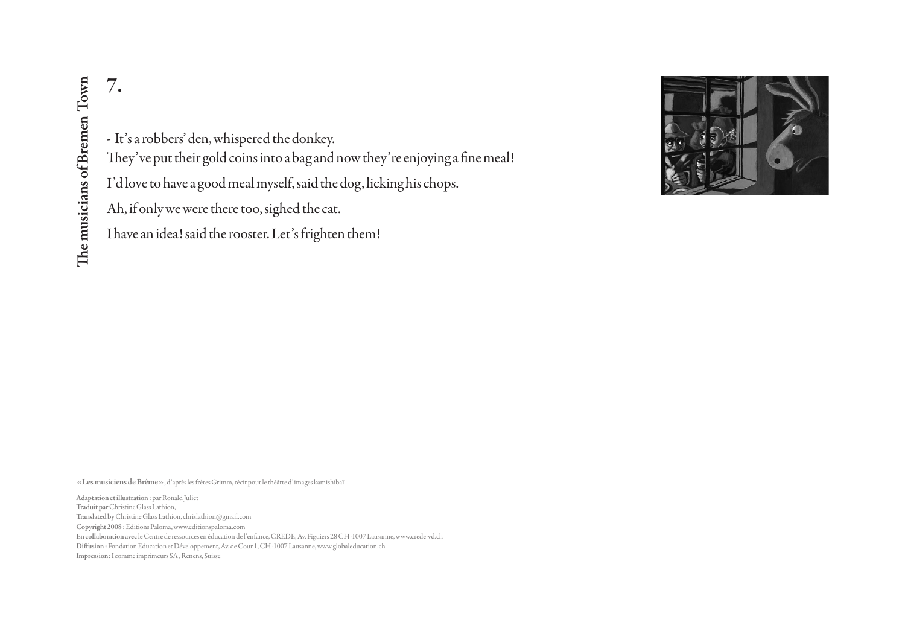#### - It's a robbers' den, whispered the donkey.

They've put their gold coins into a bag and now they're enjoying a fine meal!

I'd love to have a good meal myself, said the dog, licking his chops.

Ah, if only we were there too, sighed the cat.

I have an idea! said the rooster. Let's frighten them!



«Les musiciens de Brême», d'après les frères Grimm, récit pour le théâtre d'images kamishibaï

Adaptation et illustration : par Ronald Juliet Copyright 2008 : Editions Paloma, www.editionspaloma.com En collaboration avec le Centre de ressources en éducation de l'enfance, CREDE, Av. Figuiers 28 CH-1007 Lausanne, www.crede-vd.ch Diffusion : Fondation Education et Développement, Av. de Cour 1, CH-1007 Lausanne, www.globaleducation.ch 7<br>
Inpression: It's a robbers' den, where the music of the music of Bremen Inpression<br>
I'd love to have a good<br>
Ah, if only we were the<br>
I have an idea! said the<br>
I have an idea! said the<br>
Sa suisse The musicipal of Bremen Traduit par Christine Glass Lathion, Translated by Christine Glass Lathion, chrislathion@gmail.com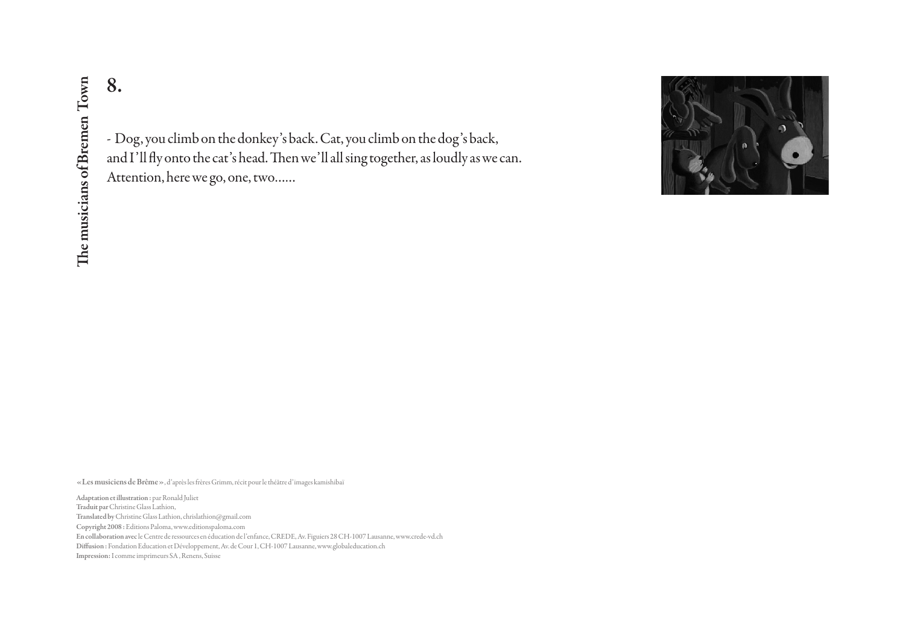- Dog, you climb on the donkey's back. Cat, you climb on the dog's back, and I'll fly onto the cat's head. Then we'll all sing together, as loudly as we can. Attention, here we go, one, two……



«Les musiciens de Brême», d'après les frères Grimm, récit pour le théâtre d'images kamishibaï

Adaptation et illustration : par Ronald Juliet Copyright 2008 : Editions Paloma, www.editionspaloma.com En collaboration avec le Centre de ressources en éducation de l'enfance, CREDE, Av. Figuiers 28 CH-1007 Lausanne, www.crede-vd.ch Diffusion : Fondation Education et Développement, Av. de Cour 1, CH-1007 Lausanne, www.globaleducation.ch 8<br>
IMPRESSION: In and I'll fly onto the carrier and I'll fly onto the carrier and I'll fly onto the carrier of and I'll fly onto the carrier and all inter Christine Gas Lathion, here we go<br>
Adaptation et illustration : par Traduit par Christine Glass Lathion, Translated by Christine Glass Lathion, chrislathion@gmail.com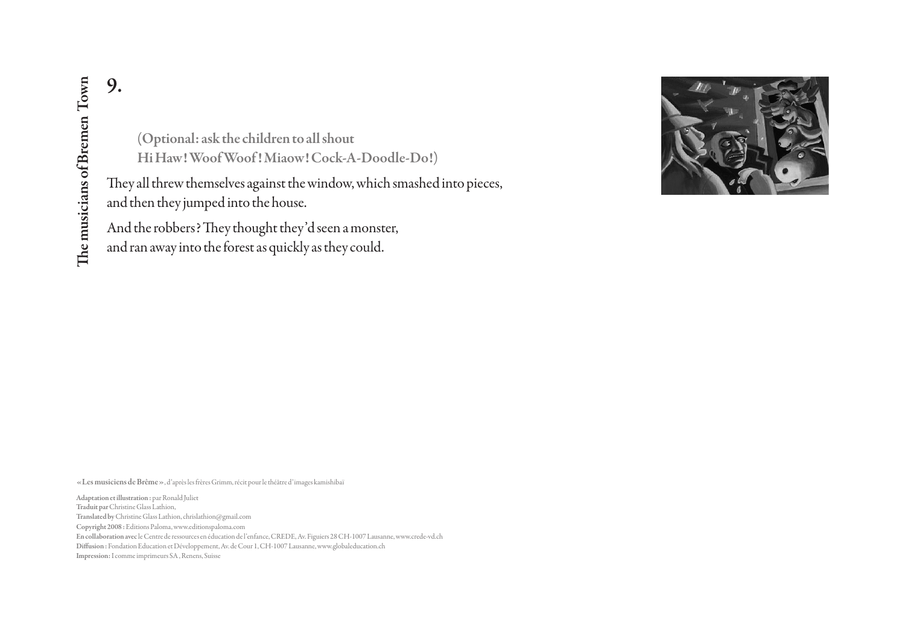(Optional: ask the children to all shout Hi Haw! Woof Woof ! Miaow! Cock-A-Doodle-Do!)

They all threw themselves against the window, which smashed into pieces, and then they jumped into the house.

And the robbers? They thought they'd seen a monster,

and ran away into the forest as quickly as they could.



«Les musiciens de Brême», d'après les frères Grimm, récit pour le théâtre d'images kamishibaï

Adaptation et illustration : par Ronald Juliet Copyright 2008 : Editions Paloma, www.editionspaloma.com En collaboration avec le Centre de ressources en éducation de l'enfance, CREDE, Av. Figuiers 28 CH-1007 Lausanne, www.crede-vd.ch Diffusion : Fondation Education et Développement, Av. de Cour 1, CH-1007 Lausanne, www.globaleducation.ch **9.**<br>
Impression: In the music of The Matter of The Matter of The Matter of The Matter of The and then they jumped<br>
and then they jumped<br>
And the robbers? The<br>
and ran away into the<br>
sexters musiciens de Brême », d'après Traduit par Christine Glass Lathion, Translated by Christine Glass Lathion, chrislathion@gmail.com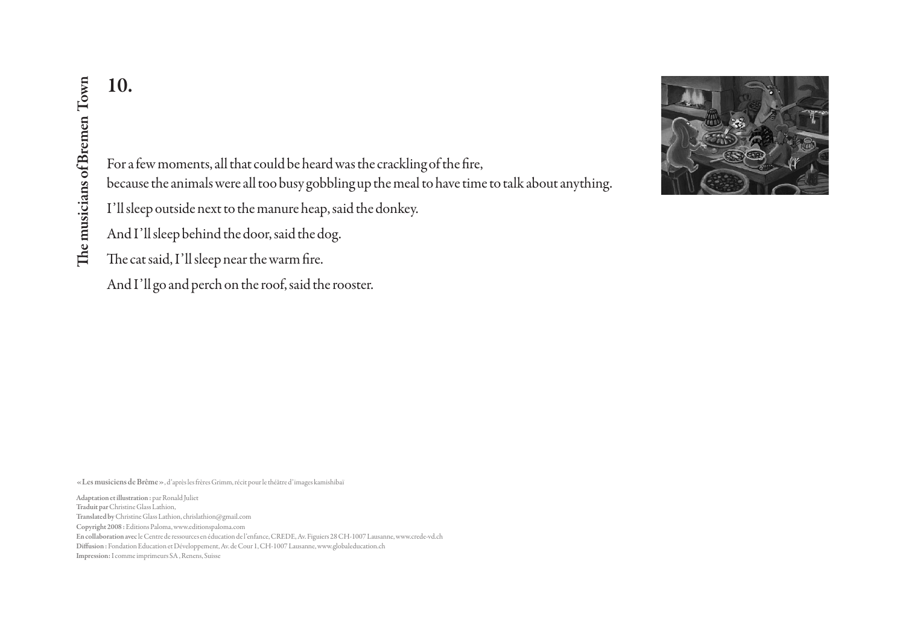For a few moments, all that could be heard was the crackling of the fire,

because the animals were all too busy gobbling up the meal to have time to talk about anything.

I'll sleep outside next to the manure heap, said the donkey.

And I'll sleep behind the door, said the dog.

The cat said, I'll sleep near the warm fire.

And I'll go and perch on the roof, said the rooster.

«Les musiciens de Brême», d'après les frères Grimm, récit pour le théâtre d'images kamishibaï

Adaptation et illustration : par Ronald Juliet Copyright 2008 : Editions Paloma, www.editionspaloma.com En collaboration avec le Centre de ressources en éducation de l'enfance, CREDE, Av. Figuiers 28 CH-1007 Lausanne, www.crede-vd.ch Diffusion : Fondation Education et Développement, Av. de Cour 1, CH-1007 Lausanne, www.globaleducation.ch 10.<br>
ISC The accuse the animals v<br>
I'll sleep outside next<br>
And I'll sleep behind<br>
The cat said, I'll sleep<br>
And I'll go and perch<br>
And I'll go and perch<br>
Executions of Bremen Townships<br>
Correct Said Scheme The Control of Traduit par Christine Glass Lathion, Translated by Christine Glass Lathion, chrislathion@gmail.com

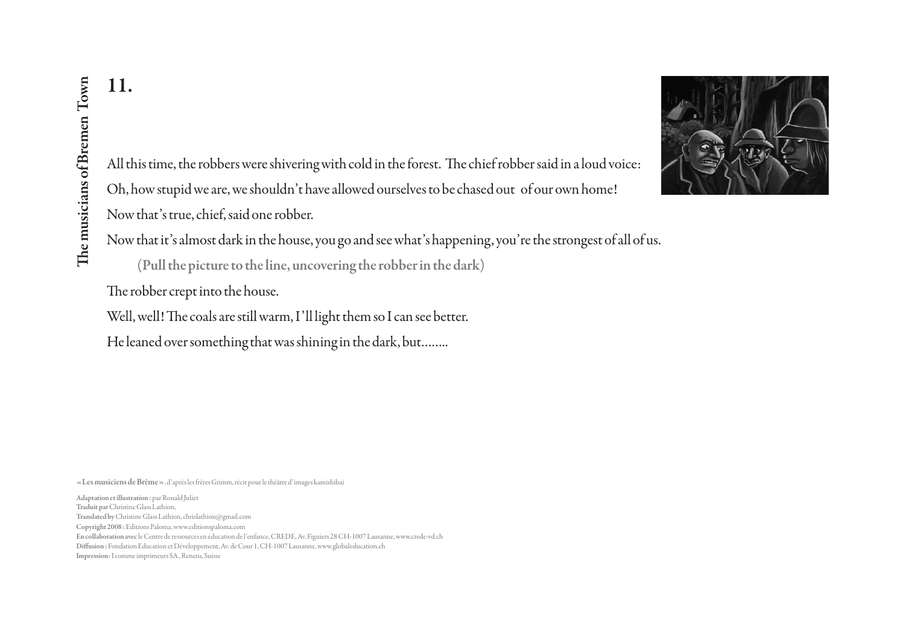

All this time, the robbers were shivering with cold in the forest. The chief robber said in a loud voice: Oh, how stupid we are, we shouldn't have allowed ourselves to be chased out of our own home! Now that's true, chief, said one robber.

Now that it's almost dark in the house, you go and see what's happening, you're the strongest of all of us.

(Pull the picture to the line, uncovering the robber in the dark)

The robber crept into the house.

Well, well! The coals are still warm, I'll light them so I can see better.

He leaned over something that was shining in the dark, but……..

«Les musiciens de Brême», d'après les frères Grimm, récit pour le théâtre d'images kamishibaï

Adaptation et illustration : par Ronald Juliet Copyright 2008 : Editions Paloma, www.editionspaloma.com En collaboration avec le Centre de ressources en éducation de l'enfance, CREDE, Av. Figuiers 28 CH-1007 Lausanne, www.crede-vd.ch Diffusion : Fondation Education et Développement, Av. de Cour 1, CH-1007 Lausanne, www.globaleducation.ch **II.**<br> **IMPRESS All this time, the robb**<br> **Oh, how stupid we are**<br> **Now that's true, chiered into the musician of all the picture of the musician (Pull the picture of the robber crept into Well, well! The coals of He leane** Traduit par Christine Glass Lathion, Translated by Christine Glass Lathion, chrislathion@gmail.com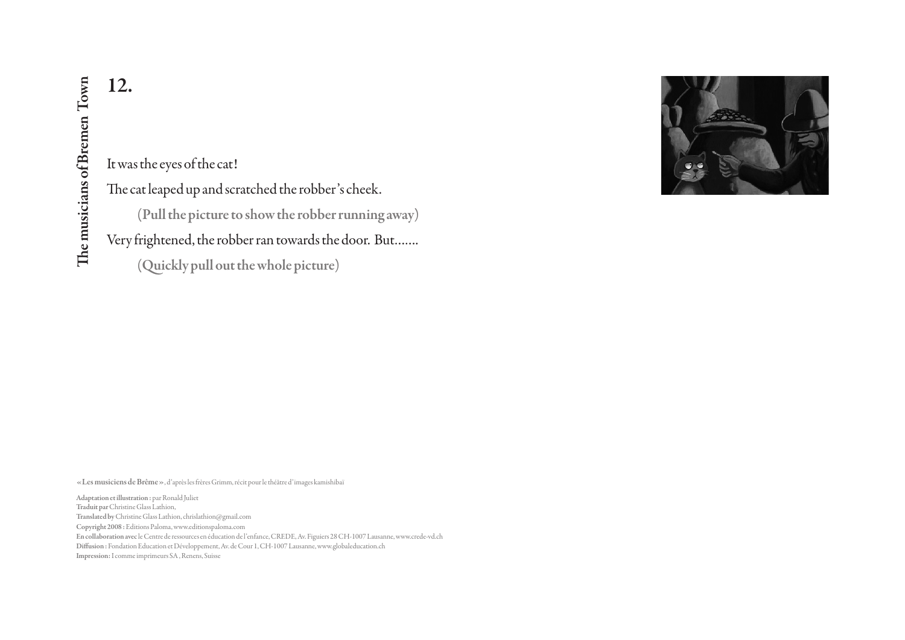12.<br>
It was the eyes of the c<br>
The cat leaped up and<br>
(Pull the picture of Prince II commenced in the picture of Prince II<br>
Very frightened, the r<br>
(Quickly pull c<br>
«Les musiciens de Brême », d'après les frères Gri<br>
Adapta It was the eyes of the cat! The cat leaped up and scratched the robber's cheek. (Pull the picture to show the robber running away) Very frightened, the robber ran towards the door. But……. (Quickly pull out the whole picture)

«Les musiciens de Brême», d'après les frères Grimm, récit pour le théâtre d'images kamishibaï

Adaptation et illustration : par Ronald Juliet Copyright 2008 : Editions Paloma, www.editionspaloma.com En collaboration avec le Centre de ressources en éducation de l'enfance, CREDE, Av. Figuiers 28 CH-1007 Lausanne, www.crede-vd.ch Diffusion : Fondation Education et Développement, Av. de Cour 1, CH-1007 Lausanne, www.globaleducation.ch Traduit par Christine Glass Lathion, Translated by Christine Glass Lathion, chrislathion@gmail.com

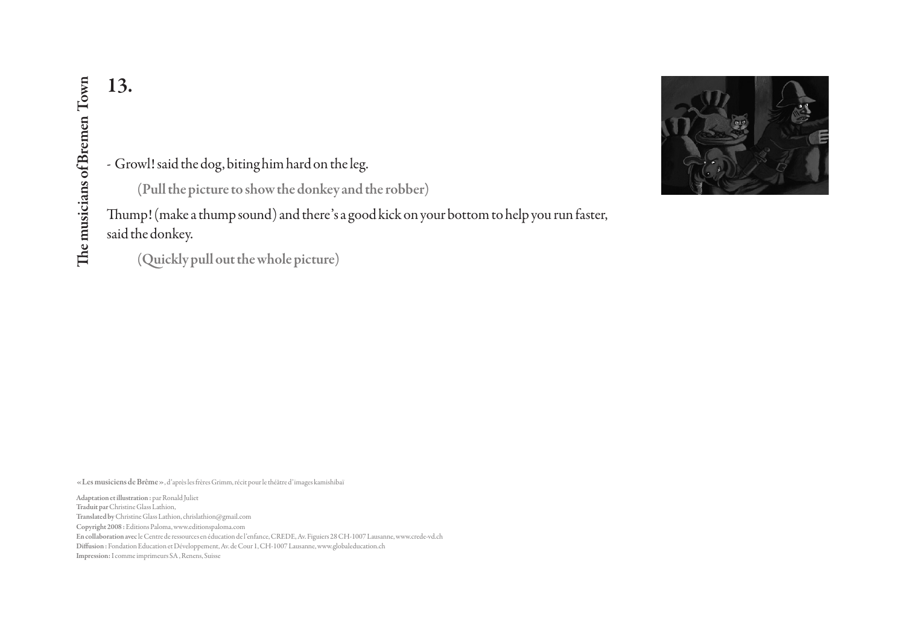

- Growl! said the dog, biting him hard on the leg.

(Pull the picture to show the donkey and the robber)

Thump! (make a thump sound) and there's a good kick on your bottom to help you run faster, said the donkey.

(Quickly pull out the whole picture)

«Les musiciens de Brême», d'après les frères Grimm, récit pour le théâtre d'images kamishibaï

Adaptation et illustration : par Ronald Juliet Copyright 2008 : Editions Paloma, www.editionspaloma.com En collaboration avec le Centre de ressources en éducation de l'enfance, CREDE, Av. Figuiers 28 CH-1007 Lausanne, www.crede-vd.ch Diffusion : Fondation Education et Développement, Av. de Cour 1, CH-1007 Lausanne, www.globaleducation.ch 13.<br>
ISLN: Thump! (make a thui<br>
and the donkey.<br>
(Quickly pull comment of Bremen Theory.<br>
(Quickly pull comment of Bremen Towns (Quickly pull comment<br>
SA , (Quickly pull comment Towns Sanding The musicians of Bremen Towns Traduit par Christine Glass Lathion, Translated by Christine Glass Lathion, chrislathion@gmail.com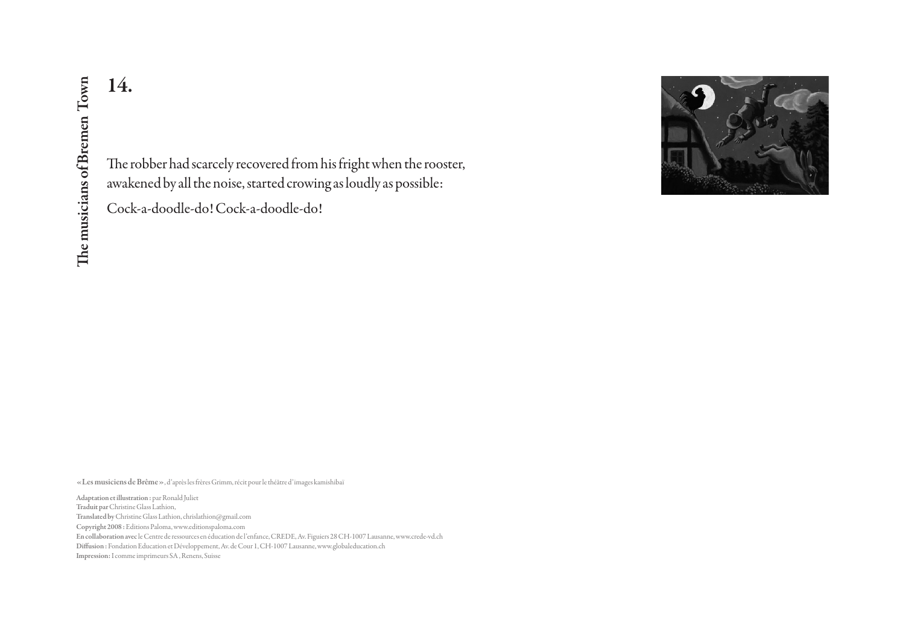The robber had scarcely recovered from his fright when the rooster, awakened by all the noise, started crowing as loudly as possible:

Cock-a-doodle-do! Cock-a-doodle-do!



«Les musiciens de Brême», d'après les frères Grimm, récit pour le théâtre d'images kamishibaï

Adaptation et illustration : par Ronald Juliet Copyright 2008 : Editions Paloma, www.editionspaloma.com En collaboration avec le Centre de ressources en éducation de l'enfance, CREDE, Av. Figuiers 28 CH-1007 Lausanne, www.crede-vd.ch Diffusion : Fondation Education et Développement, Av. de Cour 1, CH-1007 Lausanne, www.globaleducation.ch 14.<br>
Impression: Inc. The robber had scarce<br>
awakened by all the n<br>
Cock-a-doodle-do! (<br>
Cock-a-doodle-do! (<br>
Adaptation et illustration : par Ronald Juliet<br>
Radaptation et illustration : par Ronald Juliet<br>
Translated by C Traduit par Christine Glass Lathion, Translated by Christine Glass Lathion, chrislathion@gmail.com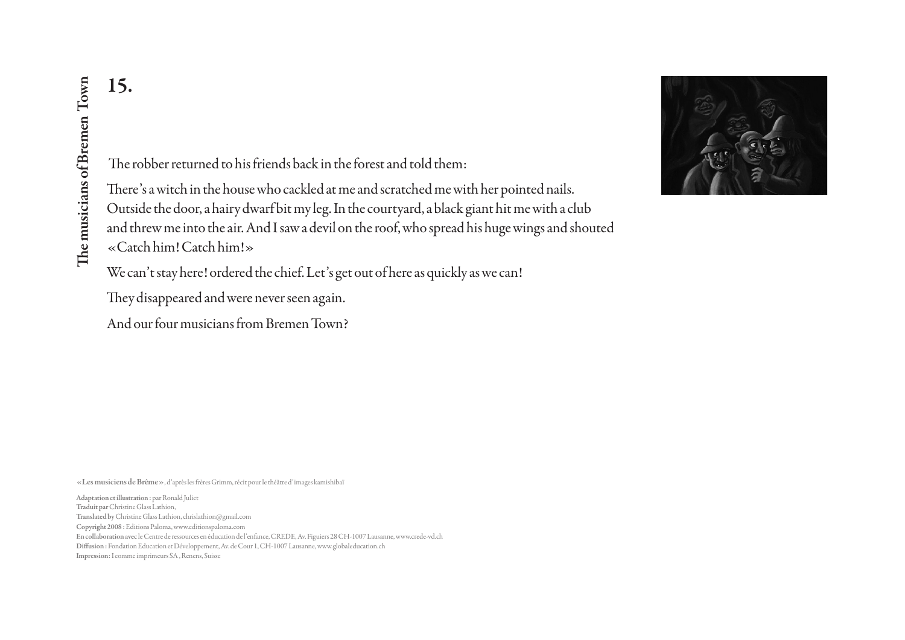The robber returned to his friends back in the forest and told them:

**IS.**<br>
The robber returned<br>
There's a witch in the<br>
Outside the door, a h.<br>
and threw me into the<br>
«Catch him! Catch l<br>
We can't stay here! or<br>
They disappeared and<br>
And our four musicians<br>
Alaptation et illustration : par There's a witch in the house who cackled at me and scratched me with her pointed nails. Outside the door, a hairy dwarf bit my leg. In the courtyard, a black giant hit me with a club and threw me into the air. And I saw a devil on the roof, who spread his huge wings and shouted «Catch him! Catch him!»

We can't stay here! ordered the chief. Let's get out of here as quickly as we can!

They disappeared and were never seen again.

And our four musicians from Bremen Town?

«Les musiciens de Brême», d'après les frères Grimm, récit pour le théâtre d'images kamishibaï

Adaptation et illustration : par Ronald Juliet Copyright 2008 : Editions Paloma, www.editionspaloma.com En collaboration avec le Centre de ressources en éducation de l'enfance, CREDE, Av. Figuiers 28 CH-1007 Lausanne, www.crede-vd.ch Diffusion : Fondation Education et Développement, Av. de Cour 1, CH-1007 Lausanne, www.globaleducation.ch Traduit par Christine Glass Lathion, Translated by Christine Glass Lathion, chrislathion@gmail.com